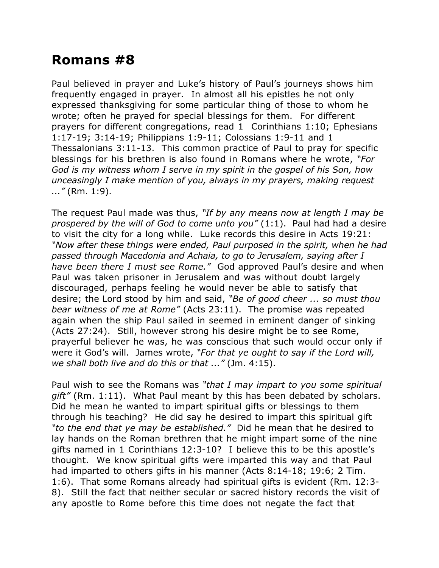## **Romans #8**

Paul believed in prayer and Luke's history of Paul's journeys shows him frequently engaged in prayer. In almost all his epistles he not only expressed thanksgiving for some particular thing of those to whom he wrote; often he prayed for special blessings for them. For different prayers for different congregations, read 1 Corinthians 1:10; Ephesians 1:17-19; 3:14-19; Philippians 1:9-11; Colossians 1:9-11 and 1 Thessalonians 3:11-13. This common practice of Paul to pray for specific blessings for his brethren is also found in Romans where he wrote, *"For God is my witness whom I serve in my spirit in the gospel of his Son, how unceasingly I make mention of you, always in my prayers, making request ..."* (Rm. 1:9).

The request Paul made was thus, *"If by any means now at length I may be prospered by the will of God to come unto you"* (1:1). Paul had had a desire to visit the city for a long while. Luke records this desire in Acts 19:21: *"Now after these things were ended, Paul purposed in the spirit, when he had passed through Macedonia and Achaia, to go to Jerusalem, saying after I have been there I must see Rome."* God approved Paul's desire and when Paul was taken prisoner in Jerusalem and was without doubt largely discouraged, perhaps feeling he would never be able to satisfy that desire; the Lord stood by him and said, *"Be of good cheer ... so must thou bear witness of me at Rome"* (Acts 23:11). The promise was repeated again when the ship Paul sailed in seemed in eminent danger of sinking (Acts 27:24). Still, however strong his desire might be to see Rome, prayerful believer he was, he was conscious that such would occur only if were it God's will. James wrote, *"For that ye ought to say if the Lord will, we shall both live and do this or that ..."* (Jm. 4:15).

Paul wish to see the Romans was *"that I may impart to you some spiritual gift"* (Rm. 1:11). What Paul meant by this has been debated by scholars. Did he mean he wanted to impart spiritual gifts or blessings to them through his teaching? He did say he desired to impart this spiritual gift *"to the end that ye may be established."* Did he mean that he desired to lay hands on the Roman brethren that he might impart some of the nine gifts named in 1 Corinthians 12:3-10? I believe this to be this apostle's thought. We know spiritual gifts were imparted this way and that Paul had imparted to others gifts in his manner (Acts 8:14-18; 19:6; 2 Tim. 1:6). That some Romans already had spiritual gifts is evident (Rm. 12:3- 8). Still the fact that neither secular or sacred history records the visit of any apostle to Rome before this time does not negate the fact that